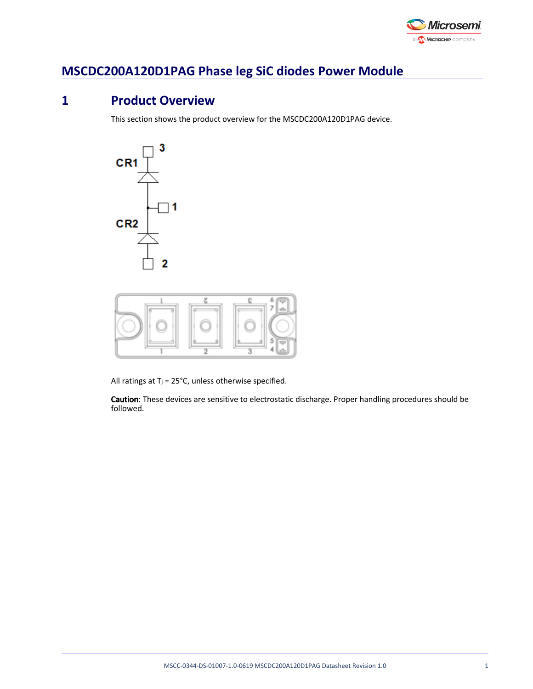

# **MSCDC200A120D1PAG Phase leg SiC diodes Power Module**

# **1 Product Overview**

This section shows the product overview for the MSCDC200A120D1PAG device.





All ratings at  $T_j = 25^{\circ}C$ , unless otherwise specified.

Caution: These devices are sensitive to electrostatic discharge. Proper handling procedures should be followed.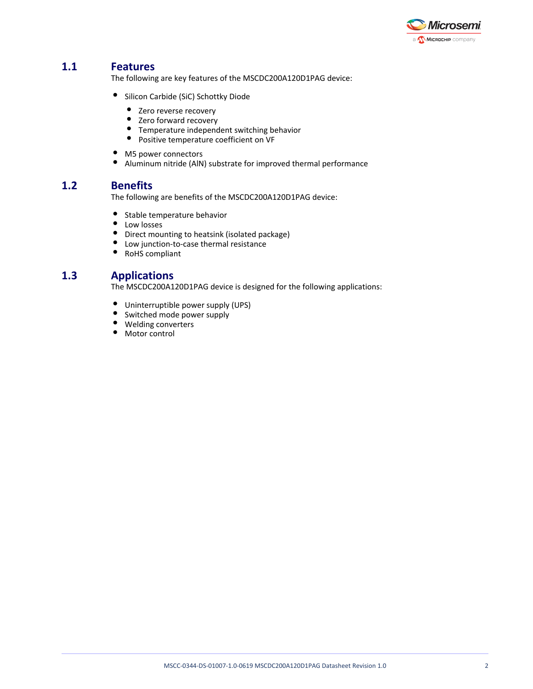

# **1.1 Features**

The following are key features of the MSCDC200A120D1PAG device:

- **•** Silicon Carbide (SiC) Schottky Diode
	- Zero reverse recovery
	- Zero forward recovery
	- Temperature independent switching behavior
	- Positive temperature coefficient on VF
- M5 power connectors
- $\bullet$ Aluminum nitride (AlN) substrate for improved thermal performance

### **1.2 Benefits**

The following are benefits of the MSCDC200A120D1PAG device:

- $\bullet$ Stable temperature behavior
- $\bullet$ Low losses
- $\bullet$ Direct mounting to heatsink (isolated package)
- Low junction-to-case thermal resistance
- $\bullet$ RoHS compliant

### **1.3 Applications**

The MSCDC200A120D1PAG device is designed for the following applications:

- Uninterruptible power supply (UPS)
- Switched mode power supply
- Welding converters
- $\bullet$  Motor control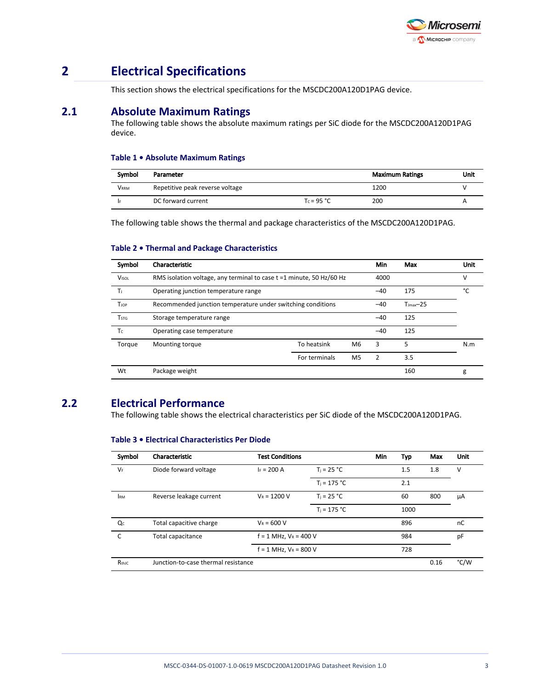

# **2 Electrical Specifications**

This section shows the electrical specifications for the MSCDC200A120D1PAG device.

### **2.1 Absolute Maximum Ratings**

The following table shows the absolute maximum ratings per SiC diode for the MSCDC200A120D1PAG device.

#### **Table 1 • Absolute Maximum Ratings**

| Symbol      | Parameter                       |               | <b>Maximum Ratings</b> | Unit |
|-------------|---------------------------------|---------------|------------------------|------|
| <b>VRRM</b> | Repetitive peak reverse voltage |               | 1200                   |      |
|             | DC forward current              | $T_c = 95 °C$ | 200                    |      |

The following table shows the thermal and package characteristics of the MSCDC200A120D1PAG.

#### **Table 2 • Thermal and Package Characteristics**

| Symbol                  | Characteristic                                                       |               |                | Min            | Max                    | <b>Unit</b> |
|-------------------------|----------------------------------------------------------------------|---------------|----------------|----------------|------------------------|-------------|
| <b>VISOL</b>            | RMS isolation voltage, any terminal to case t =1 minute, 50 Hz/60 Hz |               |                | 4000           |                        | v           |
| Tı.                     | Operating junction temperature range                                 |               |                | $-40$          | 175                    | °۲          |
| <b>T</b> jop            | Recommended junction temperature under switching conditions          |               |                | $-40$          | $T_{\text{Imax}} - 25$ |             |
| <b>T</b> <sub>STG</sub> | Storage temperature range                                            |               |                | $-40$          | 125                    |             |
| Tc                      | Operating case temperature                                           |               |                | $-40$          | 125                    |             |
| Torque                  | Mounting torque                                                      | To heatsink   | M <sub>6</sub> | 3              | 5                      | N.m         |
|                         |                                                                      | For terminals | M <sub>5</sub> | $\overline{2}$ | 3.5                    |             |
| Wt                      | Package weight                                                       |               |                |                | 160                    | g           |

# **2.2 Electrical Performance**

The following table shows the electrical characteristics per SiC diode of the MSCDC200A120D1PAG.

| Symbol     | Characteristic                      | <b>Test Conditions</b>     |                | Min | Typ  | Max  | Unit |
|------------|-------------------------------------|----------------------------|----------------|-----|------|------|------|
| $V_F$      | Diode forward voltage               | $I_F = 200 A$              | $T_i = 25 °C$  |     | 1.5  | 1.8  | v    |
|            |                                     |                            | $T_i = 175 °C$ |     | 2.1  |      |      |
| <b>IRM</b> | Reverse leakage current             | $V_R = 1200 V$             | $T_i = 25 °C$  |     | 60   | 800  | μA   |
|            |                                     |                            | $T_i = 175 °C$ |     | 1000 |      |      |
| Qc         | Total capacitive charge             | $V_R = 600 V$              |                |     | 896  |      | nC   |
| C          | Total capacitance                   | $f = 1$ MHz, $V_R = 400$ V |                |     | 984  |      | pF   |
|            |                                     | $f = 1$ MHz, $V_R = 800$ V |                |     | 728  |      |      |
| RthJC      | Junction-to-case thermal resistance |                            |                |     |      | 0.16 | °C/W |

#### **Table 3 • Electrical Characteristics Per Diode**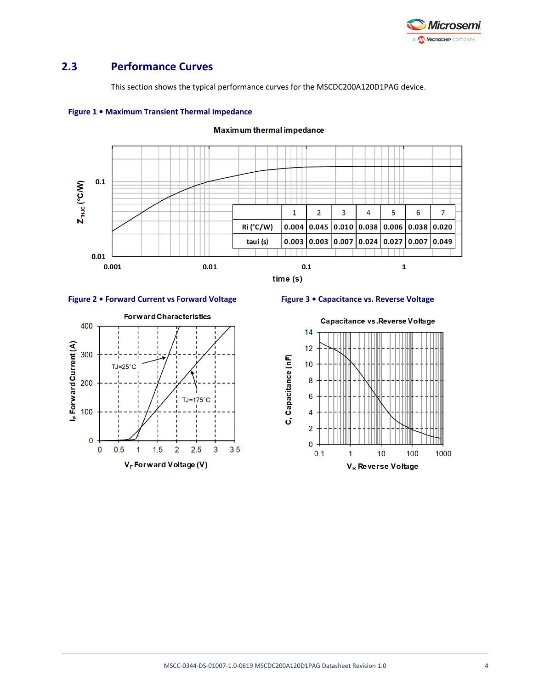

## **2.3 Performance Curves**

**Figure 1 • Maximum Transient Thermal Impedance**

This section shows the typical performance curves for the MSCDC200A120D1PAG device.



#### Maximum thermal impedance





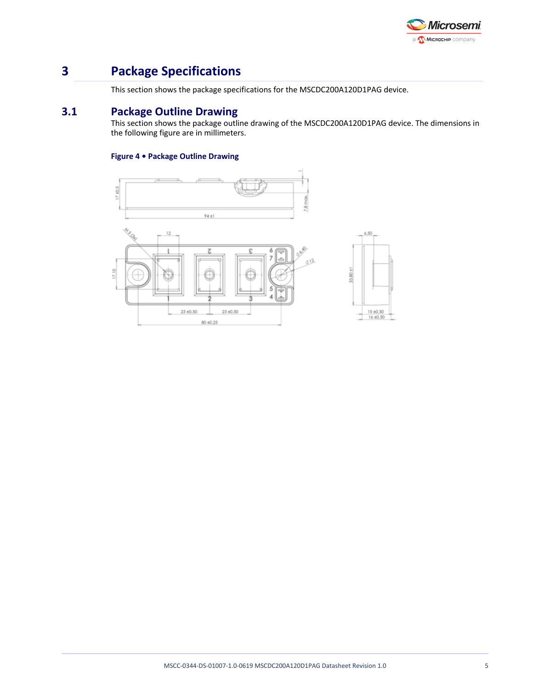

# **3 Package Specifications**

This section shows the package specifications for the MSCDC200A120D1PAG device.

# **3.1 Package Outline Drawing**

This section shows the package outline drawing of the MSCDC200A120D1PAG device. The dimensions in the following figure are in millimeters.

### **Figure 4 • Package Outline Drawing**

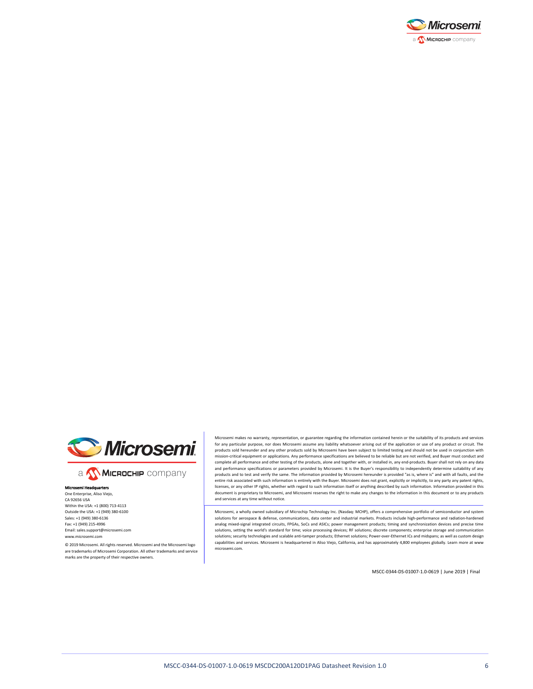



a **Wickellip** company

#### Microsemi Headqu One Enterprise, Aliso Viejo, CA 92656 USA Within the USA: +1 (800) 713-4113 Outside the USA: +1 (949) 380-6100 Sales: +1 (949) 380-6136 Fax: +1 (949) 215-4996 Email: sales.support@microsemi.com www.microsemi.com

© 2019 Microsemi. All rights reserved. Microsemi and the Microsemi logo are trademarks of Microsemi Corporation. All other trademarks and service marks are the property of their respective owners.

Microsemi makes no warranty, representation, or guarantee regarding the information contained herein or the suitability of its products and services for any particular purpose, nor does Microsemi assume any liability whatsoever arising out of the application or use of any product or circuit. The products sold hereunder and any other products sold by Microsemi have been subject to limited testing and should not be used in conjunction with mission-critical equipment or applications. Any performance specifications are believed to be reliable but are not verified, and Buyer must conduct and complete all performance and other testing of the products, alone and together with, or installed in, any end-products. Buyer shall not rely on any data and performance specifications or parameters provided by Microsemi. It is the Buyer's responsibility to independently determine suitability of any products and to test and verify the same. The information provided by Microsemi hereunder is provided "as is, where is" and with all faults, and the<br>entire risk associated with such information is entirely with the Buyer. licenses, or any other IP rights, whether with regard to such information itself or anything described by such information. Information provided in this document is proprietary to Microsemi, and Microsemi reserves the right to make any changes to the information in this document or to any products and services at any time without notice.

Microsemi, a wholly owned subsidiary of Microchip Technology Inc. (Nasdaq: MCHP), offers a comprehensive portfolio of semiconductor and system solutions for aerospace & defense, communications, data center and industrial markets. Products include high-performance and radiation-hardened analog mixed-signal integrated circuits, FPGAs, SoCs and ASICs; power management products; timing and synchronization devices and precise time solutions, setting the world's standard for time; voice processing devices; RF solutions; discrete components; enterprise storage and communication solutions; security technologies and scalable anti-tamper products; Ethernet solutions; Power-over-Ethernet ICs and midspans; as well as custom design capabilities and services. Microsemi is headquartered in Aliso Viejo, California, and has approximately 4,800 employees globally. Learn more at www. microsemi.com.

MSCC-0344-DS-01007-1.0-0619 | June 2019 | Final